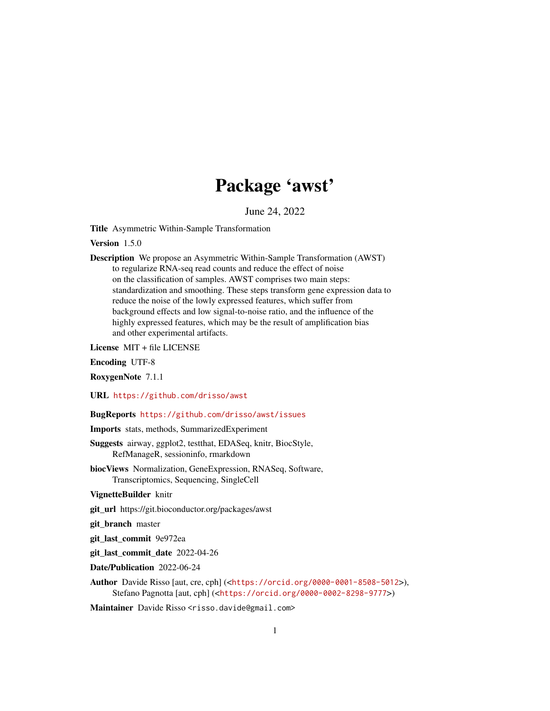## Package 'awst'

June 24, 2022

Title Asymmetric Within-Sample Transformation

Version 1.5.0

Description We propose an Asymmetric Within-Sample Transformation (AWST) to regularize RNA-seq read counts and reduce the effect of noise on the classification of samples. AWST comprises two main steps: standardization and smoothing. These steps transform gene expression data to reduce the noise of the lowly expressed features, which suffer from background effects and low signal-to-noise ratio, and the influence of the highly expressed features, which may be the result of amplification bias and other experimental artifacts.

License MIT + file LICENSE

Encoding UTF-8

RoxygenNote 7.1.1

URL <https://github.com/drisso/awst>

BugReports <https://github.com/drisso/awst/issues>

Imports stats, methods, SummarizedExperiment

- Suggests airway, ggplot2, testthat, EDASeq, knitr, BiocStyle, RefManageR, sessioninfo, rmarkdown
- biocViews Normalization, GeneExpression, RNASeq, Software, Transcriptomics, Sequencing, SingleCell

VignetteBuilder knitr

git\_url https://git.bioconductor.org/packages/awst

git\_branch master

git\_last\_commit 9e972ea

git\_last\_commit\_date 2022-04-26

Date/Publication 2022-06-24

Author Davide Risso [aut, cre, cph] (<<https://orcid.org/0000-0001-8508-5012>>), Stefano Pagnotta [aut, cph] (<<https://orcid.org/0000-0002-8298-9777>>)

Maintainer Davide Risso <risso.davide@gmail.com>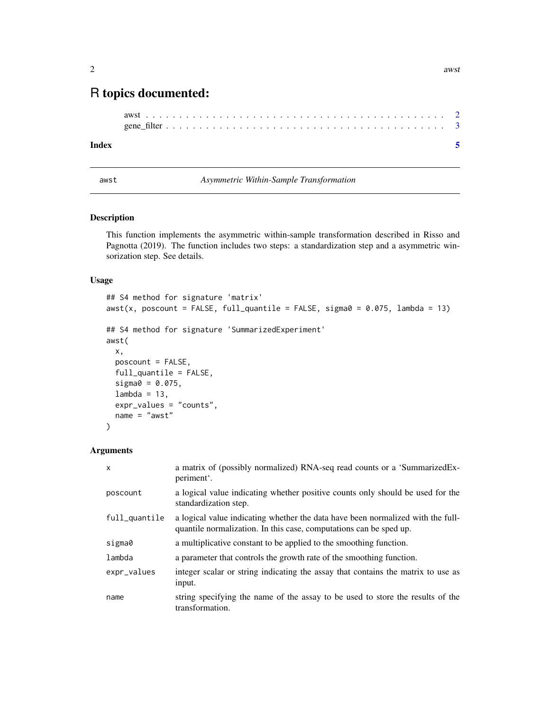### <span id="page-1-0"></span>R topics documented:

#### **Index** [5](#page-4-0)

<span id="page-1-1"></span>

awst *Asymmetric Within-Sample Transformation*

#### Description

This function implements the asymmetric within-sample transformation described in Risso and Pagnotta (2019). The function includes two steps: a standardization step and a asymmetric winsorization step. See details.

#### Usage

```
## S4 method for signature 'matrix'
awst(x, poscount = FALSE, full_quantile = FALSE, sigma0 = 0.075, lambda = 13)
## S4 method for signature 'SummarizedExperiment'
awst(
 x,
 poscount = FALSE,
 full_quantile = FALSE,
  sigma0 = 0.075,
 lambda = 13,
 expr_values = "counts",
 name = "awst")
```
#### Arguments

| $\mathsf{x}$  | a matrix of (possibly normalized) RNA-seq read counts or a 'SummarizedEx-<br>periment'.                                                               |
|---------------|-------------------------------------------------------------------------------------------------------------------------------------------------------|
| poscount      | a logical value indicating whether positive counts only should be used for the<br>standardization step.                                               |
| full_quantile | a logical value indicating whether the data have been normalized with the full-<br>quantile normalization. In this case, computations can be sped up. |
| sigma0        | a multiplicative constant to be applied to the smoothing function.                                                                                    |
| lambda        | a parameter that controls the growth rate of the smoothing function.                                                                                  |
| expr_values   | integer scalar or string indicating the assay that contains the matrix to use as<br>input.                                                            |
| name          | string specifying the name of the assay to be used to store the results of the<br>transformation.                                                     |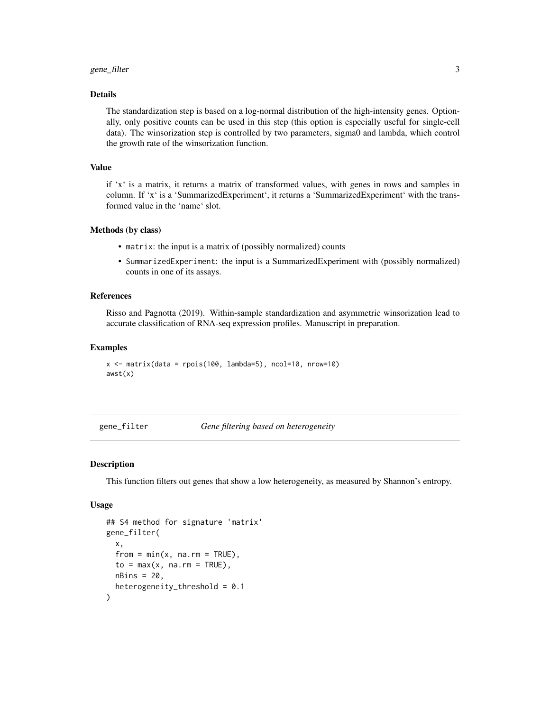#### <span id="page-2-0"></span>gene\_filter 3

#### Details

The standardization step is based on a log-normal distribution of the high-intensity genes. Optionally, only positive counts can be used in this step (this option is especially useful for single-cell data). The winsorization step is controlled by two parameters, sigma0 and lambda, which control the growth rate of the winsorization function.

#### Value

if 'x' is a matrix, it returns a matrix of transformed values, with genes in rows and samples in column. If 'x' is a 'SummarizedExperiment', it returns a 'SummarizedExperiment' with the transformed value in the 'name' slot.

#### Methods (by class)

- matrix: the input is a matrix of (possibly normalized) counts
- SummarizedExperiment: the input is a SummarizedExperiment with (possibly normalized) counts in one of its assays.

#### References

Risso and Pagnotta (2019). Within-sample standardization and asymmetric winsorization lead to accurate classification of RNA-seq expression profiles. Manuscript in preparation.

#### Examples

```
x \le - matrix(data = rpois(100, lambda=5), ncol=10, nrow=10)
awst(x)
```
gene\_filter *Gene filtering based on heterogeneity*

#### Description

This function filters out genes that show a low heterogeneity, as measured by Shannon's entropy.

#### Usage

```
## S4 method for signature 'matrix'
gene_filter(
 x,
  from = min(x, na.rm = TRUE),
  to = max(x, na.rm = TRUE),nBins = 20,
  heterogeneity_threshold = 0.1
)
```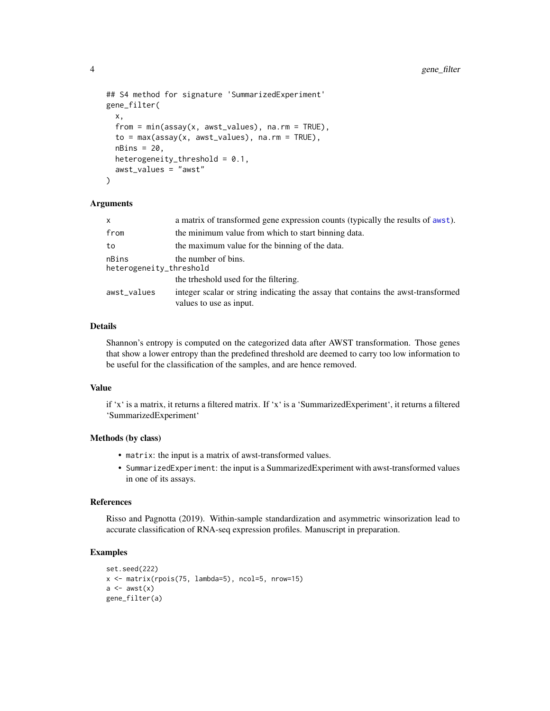```
## S4 method for signature 'SummarizedExperiment'
gene_filter(
 x,
 from = min(assay(x, awst_values), na.rm = TRUE),to = max(assay(x, awst_values), na.rm = TRUE),nBins = 20,
 heterogeneity_threshold = 0.1,
 awst_values = "awst"
)
```
#### Arguments

| $\mathsf{x}$                     | a matrix of transformed gene expression counts (typically the results of awst).                             |  |  |  |  |  |  |  |  |  |
|----------------------------------|-------------------------------------------------------------------------------------------------------------|--|--|--|--|--|--|--|--|--|
| from                             | the minimum value from which to start binning data.                                                         |  |  |  |  |  |  |  |  |  |
| to                               | the maximum value for the binning of the data.                                                              |  |  |  |  |  |  |  |  |  |
| nBins<br>heterogeneity_threshold | the number of bins.                                                                                         |  |  |  |  |  |  |  |  |  |
|                                  | the trheshold used for the filtering.                                                                       |  |  |  |  |  |  |  |  |  |
| awst_values                      | integer scalar or string indicating the assay that contains the awst-transformed<br>values to use as input. |  |  |  |  |  |  |  |  |  |

#### Details

Shannon's entropy is computed on the categorized data after AWST transformation. Those genes that show a lower entropy than the predefined threshold are deemed to carry too low information to be useful for the classification of the samples, and are hence removed.

#### Value

if 'x' is a matrix, it returns a filtered matrix. If 'x' is a 'SummarizedExperiment', it returns a filtered 'SummarizedExperiment'

#### Methods (by class)

- matrix: the input is a matrix of awst-transformed values.
- SummarizedExperiment: the input is a SummarizedExperiment with awst-transformed values in one of its assays.

#### References

Risso and Pagnotta (2019). Within-sample standardization and asymmetric winsorization lead to accurate classification of RNA-seq expression profiles. Manuscript in preparation.

#### Examples

```
set.seed(222)
x <- matrix(rpois(75, lambda=5), ncol=5, nrow=15)
a \leftarrow \text{awst}(x)gene_filter(a)
```
<span id="page-3-0"></span>